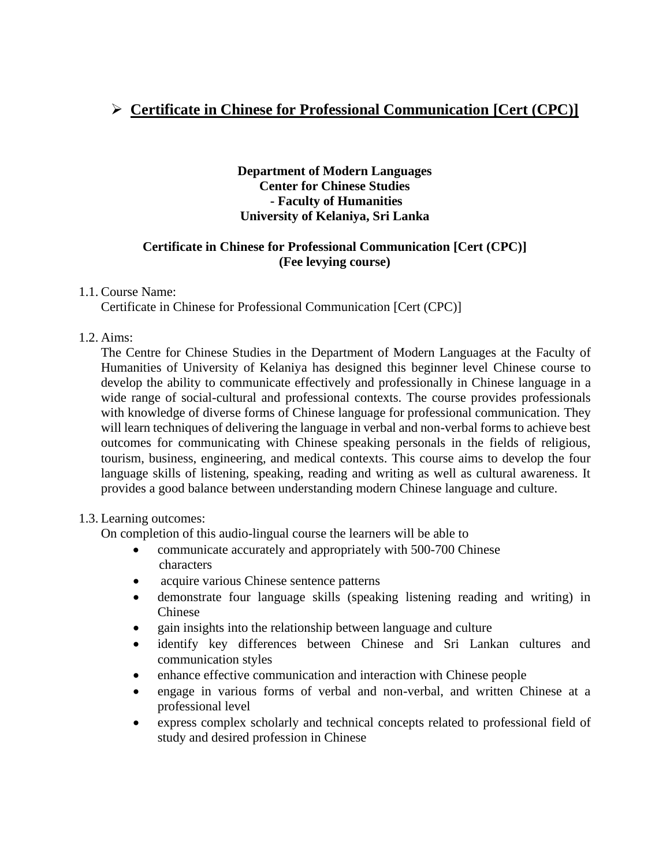# ➢ **Certificate in Chinese for Professional Communication [Cert (CPC)]**

## **Department of Modern Languages Center for Chinese Studies - Faculty of Humanities University of Kelaniya, Sri Lanka**

## **Certificate in Chinese for Professional Communication [Cert (CPC)] (Fee levying course)**

## 1.1. Course Name:

Certificate in Chinese for Professional Communication [Cert (CPC)]

## 1.2. Aims:

The Centre for Chinese Studies in the Department of Modern Languages at the Faculty of Humanities of University of Kelaniya has designed this beginner level Chinese course to develop the ability to communicate effectively and professionally in Chinese language in a wide range of social-cultural and professional contexts. The course provides professionals with knowledge of diverse forms of Chinese language for professional communication. They will learn techniques of delivering the language in verbal and non-verbal forms to achieve best outcomes for communicating with Chinese speaking personals in the fields of religious, tourism, business, engineering, and medical contexts. This course aims to develop the four language skills of listening, speaking, reading and writing as well as cultural awareness. It provides a good balance between understanding modern Chinese language and culture.

## 1.3. Learning outcomes:

On completion of this audio-lingual course the learners will be able to

- communicate accurately and appropriately with 500-700 Chinese characters
- acquire various Chinese sentence patterns
- demonstrate four language skills (speaking listening reading and writing) in Chinese
- gain insights into the relationship between language and culture
- identify key differences between Chinese and Sri Lankan cultures and communication styles
- enhance effective communication and interaction with Chinese people
- engage in various forms of verbal and non-verbal, and written Chinese at a professional level
- express complex scholarly and technical concepts related to professional field of study and desired profession in Chinese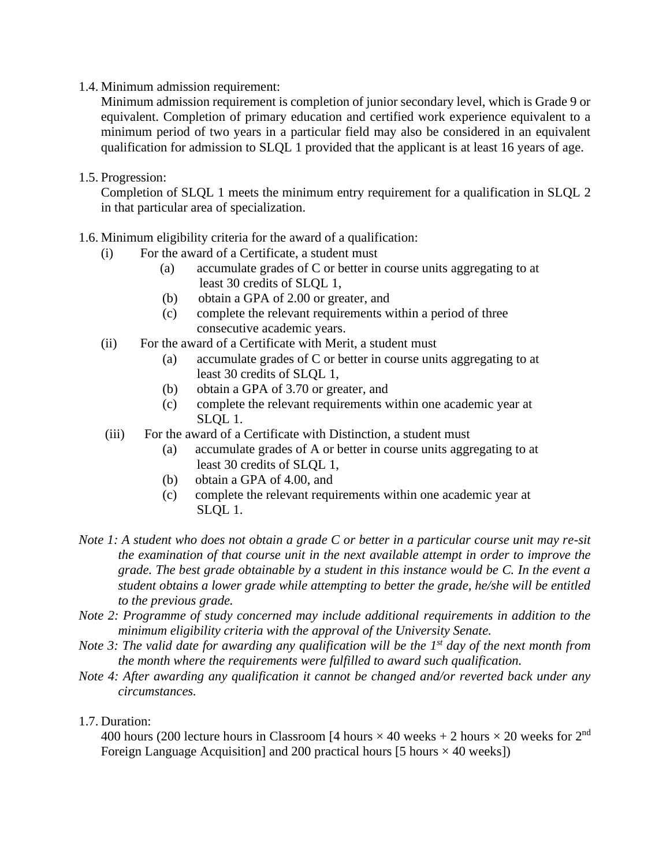1.4. Minimum admission requirement:

Minimum admission requirement is completion of junior secondary level, which is Grade 9 or equivalent. Completion of primary education and certified work experience equivalent to a minimum period of two years in a particular field may also be considered in an equivalent qualification for admission to SLQL 1 provided that the applicant is at least 16 years of age.

1.5. Progression:

Completion of SLQL 1 meets the minimum entry requirement for a qualification in SLQL 2 in that particular area of specialization.

- 1.6. Minimum eligibility criteria for the award of a qualification:
	- (i) For the award of a Certificate, a student must
		- (a) accumulate grades of C or better in course units aggregating to at least 30 credits of SLQL 1,
		- (b) obtain a GPA of 2.00 or greater, and
		- (c) complete the relevant requirements within a period of three consecutive academic years.
	- (ii) For the award of a Certificate with Merit, a student must
		- (a) accumulate grades of C or better in course units aggregating to at least 30 credits of SLQL 1,
		- (b) obtain a GPA of 3.70 or greater, and
		- (c) complete the relevant requirements within one academic year at SLQL 1.
	- (iii) For the award of a Certificate with Distinction, a student must
		- (a) accumulate grades of A or better in course units aggregating to at least 30 credits of SLQL 1,
		- (b) obtain a GPA of 4.00, and
		- (c) complete the relevant requirements within one academic year at SLQL 1.
- *Note 1: A student who does not obtain a grade C or better in a particular course unit may re-sit the examination of that course unit in the next available attempt in order to improve the grade. The best grade obtainable by a student in this instance would be C. In the event a student obtains a lower grade while attempting to better the grade, he/she will be entitled to the previous grade.*
- *Note 2: Programme of study concerned may include additional requirements in addition to the minimum eligibility criteria with the approval of the University Senate.*
- *Note 3: The valid date for awarding any qualification will be the 1st day of the next month from the month where the requirements were fulfilled to award such qualification.*
- *Note 4: After awarding any qualification it cannot be changed and/or reverted back under any circumstances.*

#### 1.7. Duration:

400 hours (200 lecture hours in Classroom [4 hours  $\times$  40 weeks + 2 hours  $\times$  20 weeks for 2<sup>nd</sup> Foreign Language Acquisition] and 200 practical hours [5 hours  $\times$  40 weeks])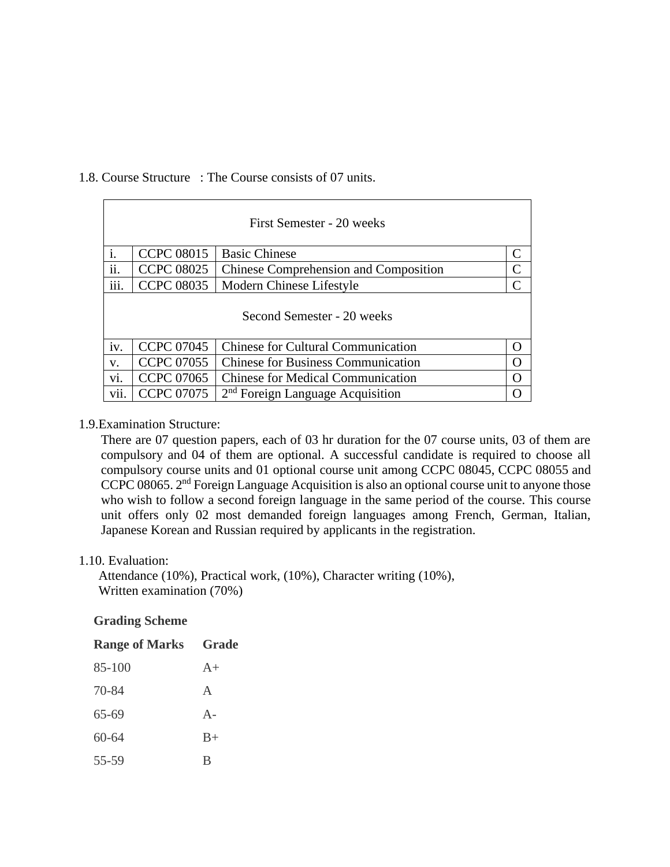#### 1.8. Course Structure : The Course consists of 07 units.

| First Semester - 20 weeks  |                   |                                              |               |  |
|----------------------------|-------------------|----------------------------------------------|---------------|--|
| i.                         | <b>CCPC 08015</b> | <b>Basic Chinese</b>                         | $\mathsf{C}$  |  |
| ii.                        | <b>CCPC 08025</b> | <b>Chinese Comprehension and Composition</b> | $\mathsf{C}$  |  |
| iii.                       | <b>CCPC 08035</b> | Modern Chinese Lifestyle                     | $\mathcal{C}$ |  |
| Second Semester - 20 weeks |                   |                                              |               |  |
| iv.                        | <b>CCPC 07045</b> | <b>Chinese for Cultural Communication</b>    | $\Omega$      |  |
| V.                         | <b>CCPC 07055</b> | <b>Chinese for Business Communication</b>    | O             |  |
| vi.                        | <b>CCPC 07065</b> | <b>Chinese for Medical Communication</b>     | $\Omega$      |  |
| vii.                       | <b>CCPC 07075</b> | 2 <sup>nd</sup> Foreign Language Acquisition | ∩             |  |

#### 1.9.Examination Structure:

There are 07 question papers, each of 03 hr duration for the 07 course units, 03 of them are compulsory and 04 of them are optional. A successful candidate is required to choose all compulsory course units and 01 optional course unit among CCPC 08045, CCPC 08055 and CCPC 08065. 2<sup>nd</sup> Foreign Language Acquisition is also an optional course unit to anyone those who wish to follow a second foreign language in the same period of the course. This course unit offers only 02 most demanded foreign languages among French, German, Italian, Japanese Korean and Russian required by applicants in the registration.

#### 1.10. Evaluation:

Attendance (10%), Practical work, (10%), Character writing (10%), Written examination (70%)

#### **Grading Scheme**

| <b>Range of Marks</b> | Grade        |
|-----------------------|--------------|
| 85-100                | $A+$         |
| 70-84                 | $\mathsf{A}$ |
| 65-69                 | $A -$        |
| $60 - 64$             | $B+$         |
| 55-59                 | B            |
|                       |              |